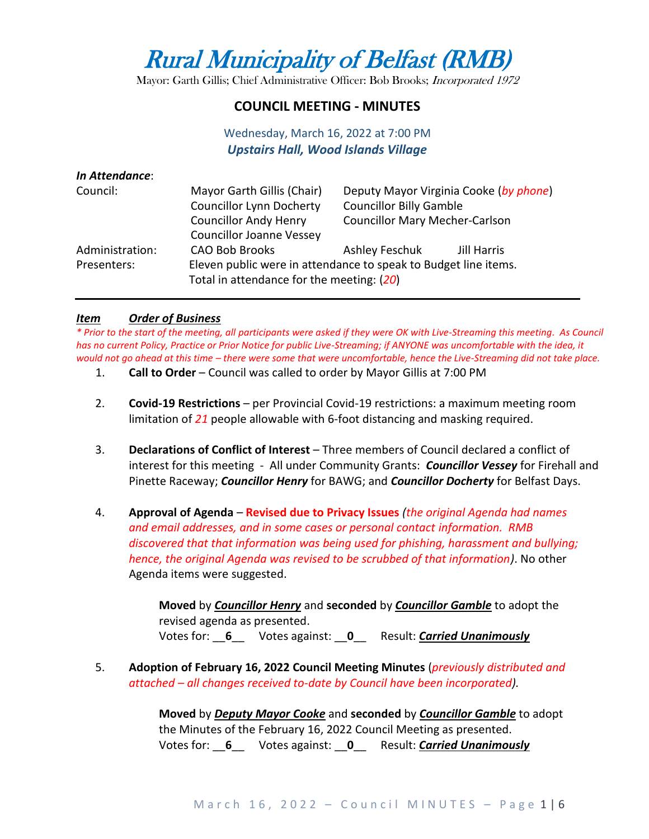# Rural Municipality of Belfast (RMB)

Mayor: Garth Gillis; Chief Administrative Officer: Bob Brooks; Incorporated 1972

## **COUNCIL MEETING - MINUTES**

## Wednesday, March 16, 2022 at 7:00 PM *Upstairs Hall, Wood Islands Village*

| In Attendance:  |                                           |                                                                          |             |  |
|-----------------|-------------------------------------------|--------------------------------------------------------------------------|-------------|--|
| Council:        | Mayor Garth Gillis (Chair)                | Deputy Mayor Virginia Cooke (by phone)<br><b>Councillor Billy Gamble</b> |             |  |
|                 | <b>Councillor Lynn Docherty</b>           |                                                                          |             |  |
|                 | <b>Councillor Andy Henry</b>              | <b>Councillor Mary Mecher-Carlson</b>                                    |             |  |
|                 | <b>Councillor Joanne Vessey</b>           |                                                                          |             |  |
| Administration: | <b>CAO Bob Brooks</b>                     | Ashley Feschuk                                                           | Jill Harris |  |
| Presenters:     | Total in attendance for the meeting: (20) | Eleven public were in attendance to speak to Budget line items.          |             |  |

#### *Item Order of Business*

*\* Prior to the start of the meeting, all participants were asked if they were OK with Live-Streaming this meeting. As Council has no current Policy, Practice or Prior Notice for public Live-Streaming; if ANYONE was uncomfortable with the idea, it would not go ahead at this time – there were some that were uncomfortable, hence the Live-Streaming did not take place.*

- 1. **Call to Order** Council was called to order by Mayor Gillis at 7:00 PM
- 2. **Covid-19 Restrictions**  per Provincial Covid-19 restrictions: a maximum meeting room limitation of *21* people allowable with 6-foot distancing and masking required.
- 3. **Declarations of Conflict of Interest** Three members of Council declared a conflict of interest for this meeting - All under Community Grants: *Councillor Vessey* for Firehall and Pinette Raceway; *Councillor Henry* for BAWG; and *Councillor Docherty* for Belfast Days.
- 4. **Approval of Agenda Revised due to Privacy Issues** *(the original Agenda had names and email addresses, and in some cases or personal contact information. RMB discovered that that information was being used for phishing, harassment and bullying; hence, the original Agenda was revised to be scrubbed of that information)*. No other Agenda items were suggested.

**Moved** by *Councillor Henry* and **seconded** by *Councillor Gamble* to adopt the revised agenda as presented. Votes for: \_\_**6**\_\_ Votes against: \_\_**0**\_\_ Result: *Carried Unanimously*

5. **Adoption of February 16, 2022 Council Meeting Minutes** (*previously distributed and attached – all changes received to-date by Council have been incorporated).*

> **Moved** by *Deputy Mayor Cooke* and **seconded** by *Councillor Gamble* to adopt the Minutes of the February 16, 2022 Council Meeting as presented. Votes for: \_\_**6**\_\_ Votes against: \_\_**0**\_\_ Result: *Carried Unanimously*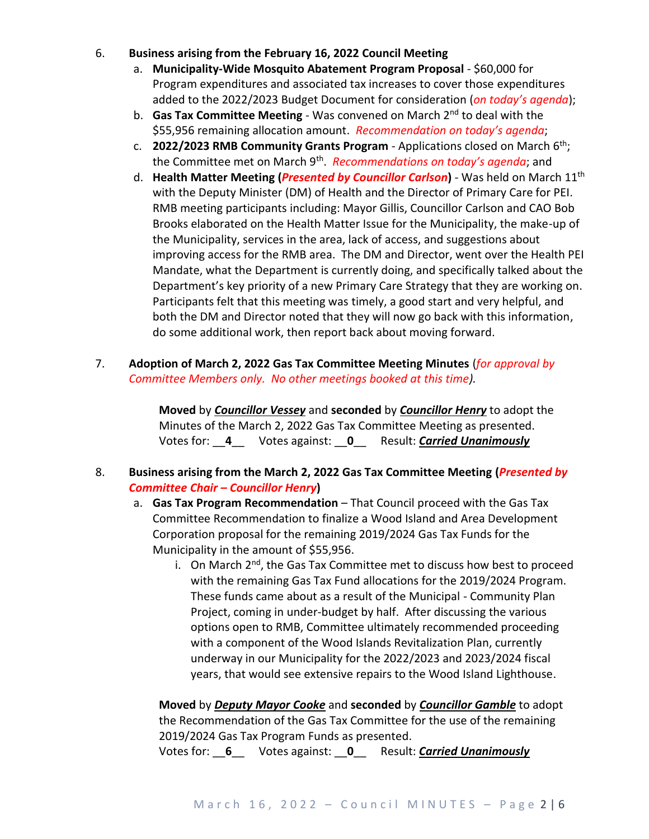- 6. **Business arising from the February 16, 2022 Council Meeting**
	- a. **Municipality-Wide Mosquito Abatement Program Proposal**  \$60,000 for Program expenditures and associated tax increases to cover those expenditures added to the 2022/2023 Budget Document for consideration (*on today's agenda*);
	- b. **Gas Tax Committee Meeting**  Was convened on March 2nd to deal with the \$55,956 remaining allocation amount. *Recommendation on today's agenda*;
	- c. **2022/2023 RMB Community Grants Program**  Applications closed on March 6th; the Committee met on March 9th . *Recommendations on today's agenda*; and
	- d. **Health Matter Meeting (***Presented by Councillor Carlson***)** Was held on March 11th with the Deputy Minister (DM) of Health and the Director of Primary Care for PEI. RMB meeting participants including: Mayor Gillis, Councillor Carlson and CAO Bob Brooks elaborated on the Health Matter Issue for the Municipality, the make-up of the Municipality, services in the area, lack of access, and suggestions about improving access for the RMB area. The DM and Director, went over the Health PEI Mandate, what the Department is currently doing, and specifically talked about the Department's key priority of a new Primary Care Strategy that they are working on. Participants felt that this meeting was timely, a good start and very helpful, and both the DM and Director noted that they will now go back with this information, do some additional work, then report back about moving forward.
- 7. **Adoption of March 2, 2022 Gas Tax Committee Meeting Minutes** (*for approval by Committee Members only. No other meetings booked at this time).*

**Moved** by *Councillor Vessey* and **seconded** by *Councillor Henry* to adopt the Minutes of the March 2, 2022 Gas Tax Committee Meeting as presented. Votes for: \_\_**4**\_\_ Votes against: \_\_**0**\_\_ Result: *Carried Unanimously*

- 8. **Business arising from the March 2, 2022 Gas Tax Committee Meeting (***Presented by Committee Chair – Councillor Henry***)**
	- a. **Gas Tax Program Recommendation** That Council proceed with the Gas Tax Committee Recommendation to finalize a Wood Island and Area Development Corporation proposal for the remaining 2019/2024 Gas Tax Funds for the Municipality in the amount of \$55,956.
		- i. On March  $2<sup>nd</sup>$ , the Gas Tax Committee met to discuss how best to proceed with the remaining Gas Tax Fund allocations for the 2019/2024 Program. These funds came about as a result of the Municipal - Community Plan Project, coming in under-budget by half. After discussing the various options open to RMB, Committee ultimately recommended proceeding with a component of the Wood Islands Revitalization Plan, currently underway in our Municipality for the 2022/2023 and 2023/2024 fiscal years, that would see extensive repairs to the Wood Island Lighthouse.

**Moved** by *Deputy Mayor Cooke* and **seconded** by *Councillor Gamble* to adopt the Recommendation of the Gas Tax Committee for the use of the remaining 2019/2024 Gas Tax Program Funds as presented.

Votes for: \_\_**6**\_\_ Votes against: \_\_**0**\_\_ Result: *Carried Unanimously*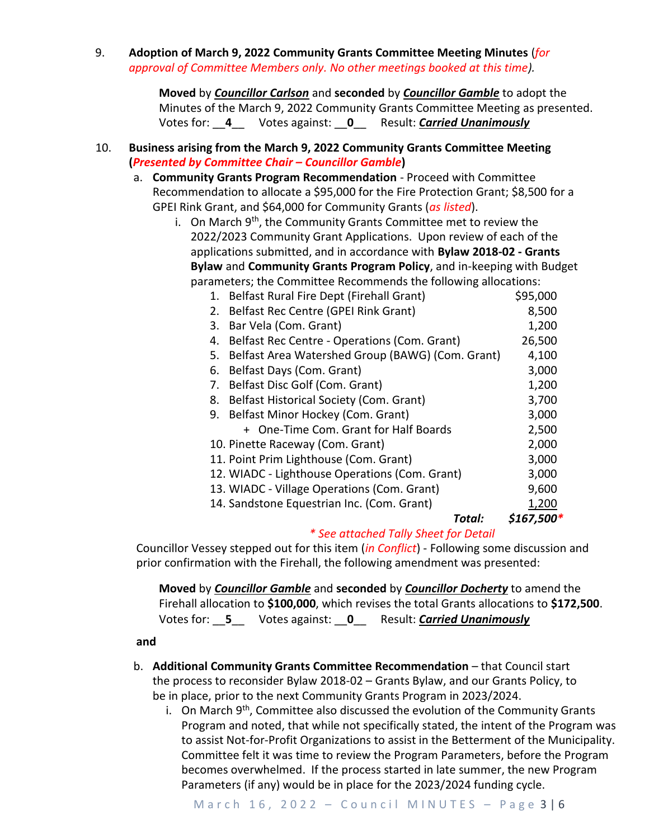9. **Adoption of March 9, 2022 Community Grants Committee Meeting Minutes** (*for approval of Committee Members only. No other meetings booked at this time).*

> **Moved** by *Councillor Carlson* and **seconded** by *Councillor Gamble* to adopt the Minutes of the March 9, 2022 Community Grants Committee Meeting as presented. Votes for: \_\_**4**\_\_ Votes against: \_\_**0**\_\_ Result: *Carried Unanimously*

#### 10. **Business arising from the March 9, 2022 Community Grants Committee Meeting (***Presented by Committee Chair – Councillor Gamble***)**

- a. **Community Grants Program Recommendation** Proceed with Committee Recommendation to allocate a \$95,000 for the Fire Protection Grant; \$8,500 for a GPEI Rink Grant, and \$64,000 for Community Grants (*as listed*).
	- i. On March  $9<sup>th</sup>$ , the Community Grants Committee met to review the 2022/2023 Community Grant Applications. Upon review of each of the applications submitted, and in accordance with **Bylaw 2018-02 - Grants Bylaw** and **Community Grants Program Policy**, and in-keeping with Budget parameters; the Committee Recommends the following allocations:

| 1.                                             | Belfast Rural Fire Dept (Firehall Grant)         | \$95,000    |  |
|------------------------------------------------|--------------------------------------------------|-------------|--|
| 2.                                             | Belfast Rec Centre (GPEI Rink Grant)             |             |  |
| Bar Vela (Com. Grant)<br>3.                    |                                                  | 1,200       |  |
| 4.                                             | Belfast Rec Centre - Operations (Com. Grant)     |             |  |
| 5.                                             | Belfast Area Watershed Group (BAWG) (Com. Grant) |             |  |
| Belfast Days (Com. Grant)<br>6.                |                                                  | 3,000       |  |
| 7.                                             | Belfast Disc Golf (Com. Grant)                   | 1,200       |  |
| 8.                                             | Belfast Historical Society (Com. Grant)          |             |  |
| Belfast Minor Hockey (Com. Grant)<br>9.        |                                                  | 3,000       |  |
|                                                | + One-Time Com. Grant for Half Boards            | 2,500       |  |
| 10. Pinette Raceway (Com. Grant)               |                                                  | 2,000       |  |
| 11. Point Prim Lighthouse (Com. Grant)         |                                                  | 3,000       |  |
| 12. WIADC - Lighthouse Operations (Com. Grant) | 3,000                                            |             |  |
| 13. WIADC - Village Operations (Com. Grant)    |                                                  | 9,600       |  |
| 14. Sandstone Equestrian Inc. (Com. Grant)     |                                                  | 1,200       |  |
|                                                | Total:                                           | $$167,500*$ |  |

# *\* See attached Tally Sheet for Detail*

Councillor Vessey stepped out for this item (*in Conflict*) - Following some discussion and prior confirmation with the Firehall, the following amendment was presented:

**Moved** by *Councillor Gamble* and **seconded** by *Councillor Docherty* to amend the Firehall allocation to **\$100,000**, which revises the total Grants allocations to **\$172,500**. Votes for: \_\_**5**\_\_ Votes against: \_\_**0**\_\_ Result: *Carried Unanimously*

**and**

- b. **Additional Community Grants Committee Recommendation** that Council start the process to reconsider Bylaw 2018-02 – Grants Bylaw, and our Grants Policy, to be in place, prior to the next Community Grants Program in 2023/2024.
	- i. On March  $9<sup>th</sup>$ , Committee also discussed the evolution of the Community Grants Program and noted, that while not specifically stated, the intent of the Program was to assist Not-for-Profit Organizations to assist in the Betterment of the Municipality. Committee felt it was time to review the Program Parameters, before the Program becomes overwhelmed. If the process started in late summer, the new Program Parameters (if any) would be in place for the 2023/2024 funding cycle.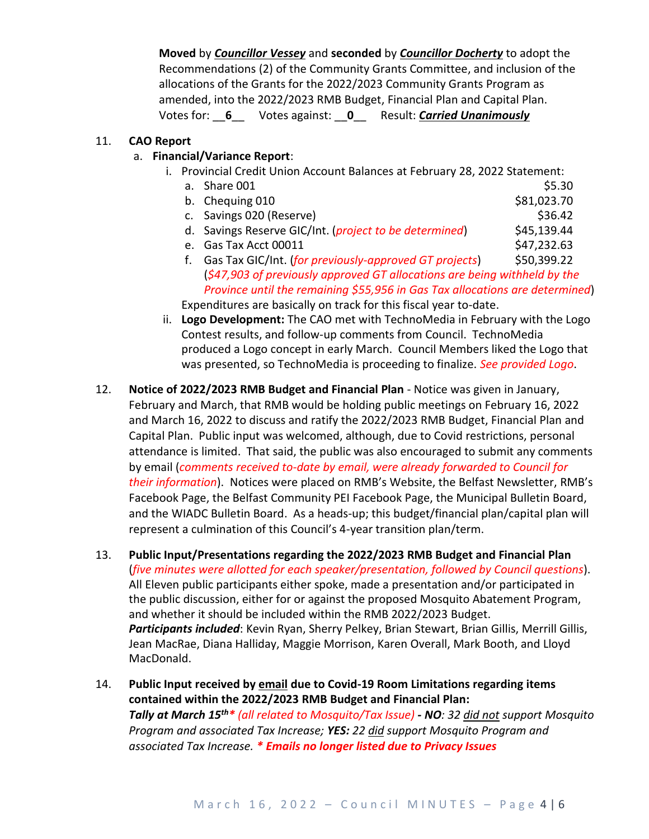**Moved** by *Councillor Vessey* and **seconded** by *Councillor Docherty* to adopt the Recommendations (2) of the Community Grants Committee, and inclusion of the allocations of the Grants for the 2022/2023 Community Grants Program as amended, into the 2022/2023 RMB Budget, Financial Plan and Capital Plan. Votes for: \_\_**6**\_\_ Votes against: \_\_**0**\_\_ Result: *Carried Unanimously*

## 11. **CAO Report**

## a. **Financial/Variance Report**:

i. Provincial Credit Union Account Balances at February 28, 2022 Statement:

a. Share  $001$  \$5.30

- b. Chequing 010 \$81,023.70
- c. Savings 020 (Reserve)  $\lesssim$  36.42
- d. Savings Reserve GIC/Int. (*project to be determined*) \$45,139.44
- e. Gas Tax Acct 00011 \$47,232.63
- f. Gas Tax GIC/Int. (*for previously-approved GT projects*) \$50,399.22 (*\$47,903 of previously approved GT allocations are being withheld by the Province until the remaining \$55,956 in Gas Tax allocations are determined*) Expenditures are basically on track for this fiscal year to-date.
- ii. **Logo Development:** The CAO met with TechnoMedia in February with the Logo Contest results, and follow-up comments from Council. TechnoMedia produced a Logo concept in early March. Council Members liked the Logo that was presented, so TechnoMedia is proceeding to finalize. *See provided Logo*.
- 12. **Notice of 2022/2023 RMB Budget and Financial Plan**  Notice was given in January, February and March, that RMB would be holding public meetings on February 16, 2022 and March 16, 2022 to discuss and ratify the 2022/2023 RMB Budget, Financial Plan and Capital Plan. Public input was welcomed, although, due to Covid restrictions, personal attendance is limited. That said, the public was also encouraged to submit any comments by email (*comments received to-date by email, were already forwarded to Council for their information*). Notices were placed on RMB's Website, the Belfast Newsletter, RMB's Facebook Page, the Belfast Community PEI Facebook Page, the Municipal Bulletin Board, and the WIADC Bulletin Board. As a heads-up; this budget/financial plan/capital plan will represent a culmination of this Council's 4-year transition plan/term.
- 13. **Public Input/Presentations regarding the 2022/2023 RMB Budget and Financial Plan**  (*five minutes were allotted for each speaker/presentation, followed by Council questions*). All Eleven public participants either spoke, made a presentation and/or participated in the public discussion, either for or against the proposed Mosquito Abatement Program, and whether it should be included within the RMB 2022/2023 Budget. *Participants included*: Kevin Ryan, Sherry Pelkey, Brian Stewart, Brian Gillis, Merrill Gillis, Jean MacRae, Diana Halliday, Maggie Morrison, Karen Overall, Mark Booth, and Lloyd MacDonald.
- 14. **Public Input received by email due to Covid-19 Room Limitations regarding items contained within the 2022/2023 RMB Budget and Financial Plan:** *Tally at March 15th\* (all related to Mosquito/Tax Issue) - NO: 32 did not support Mosquito Program and associated Tax Increase; YES: 22 did support Mosquito Program and associated Tax Increase. \* Emails no longer listed due to Privacy Issues*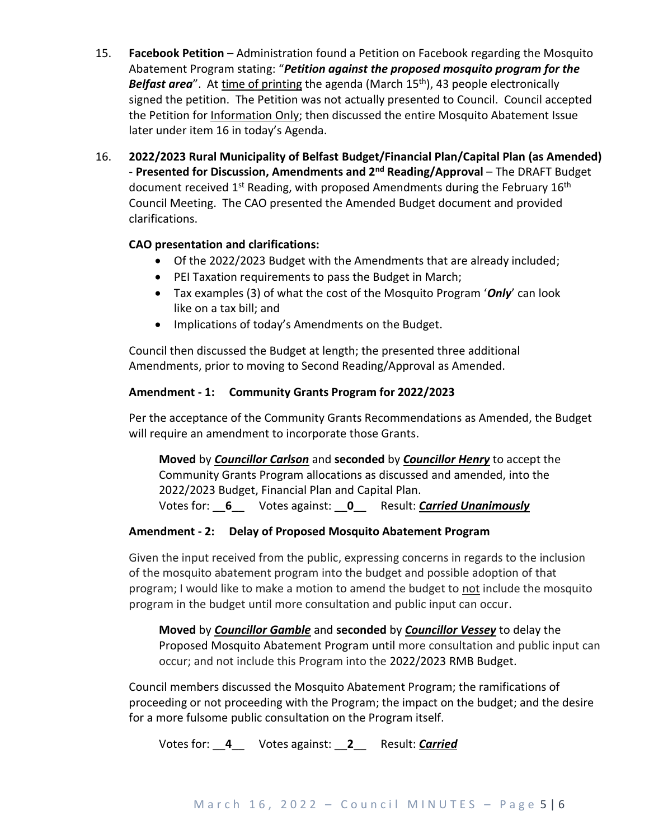- 15. **Facebook Petition** Administration found a Petition on Facebook regarding the Mosquito Abatement Program stating: "*Petition against the proposed mosquito program for the Belfast area*". At time of printing the agenda (March 15<sup>th</sup>), 43 people electronically signed the petition. The Petition was not actually presented to Council. Council accepted the Petition for *Information Only;* then discussed the entire Mosquito Abatement Issue later under item 16 in today's Agenda.
- 16. **2022/2023 Rural Municipality of Belfast Budget/Financial Plan/Capital Plan (as Amended) - Presented for Discussion, Amendments and 2<sup>nd</sup> Reading/Approval – The DRAFT Budget** document received  $1<sup>st</sup>$  Reading, with proposed Amendments during the February  $16<sup>th</sup>$ Council Meeting. The CAO presented the Amended Budget document and provided clarifications.

## **CAO presentation and clarifications:**

- Of the 2022/2023 Budget with the Amendments that are already included;
- PEI Taxation requirements to pass the Budget in March;
- Tax examples (3) of what the cost of the Mosquito Program '*Only*' can look like on a tax bill; and
- Implications of today's Amendments on the Budget.

Council then discussed the Budget at length; the presented three additional Amendments, prior to moving to Second Reading/Approval as Amended.

#### **Amendment - 1: Community Grants Program for 2022/2023**

Per the acceptance of the Community Grants Recommendations as Amended, the Budget will require an amendment to incorporate those Grants.

**Moved** by *Councillor Carlson* and **seconded** by *Councillor Henry* to accept the Community Grants Program allocations as discussed and amended, into the 2022/2023 Budget, Financial Plan and Capital Plan. Votes for: \_\_**6**\_\_ Votes against: \_\_**0**\_\_ Result: *Carried Unanimously*

#### **Amendment - 2: Delay of Proposed Mosquito Abatement Program**

Given the input received from the public, expressing concerns in regards to the inclusion of the mosquito abatement program into the budget and possible adoption of that program; I would like to make a motion to amend the budget to not include the mosquito program in the budget until more consultation and public input can occur.

**Moved** by *Councillor Gamble* and **seconded** by *Councillor Vessey* to delay the Proposed Mosquito Abatement Program until more consultation and public input can occur; and not include this Program into the 2022/2023 RMB Budget.

Council members discussed the Mosquito Abatement Program; the ramifications of proceeding or not proceeding with the Program; the impact on the budget; and the desire for a more fulsome public consultation on the Program itself.

Votes for: \_\_**4**\_\_ Votes against: \_\_**2**\_\_ Result: *Carried*